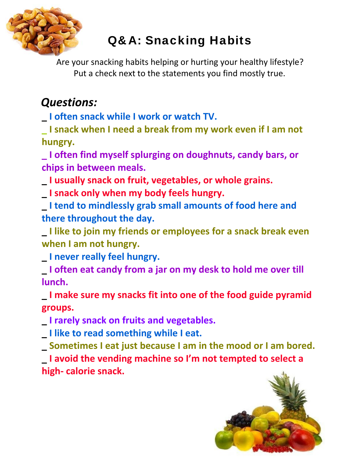

# Q&A: Snacking Habits

Are your snacking habits helping or hurting your healthy lifestyle? Put a check next to the statements you find mostly true.

## *Questions:*

**\_ I often snack while I work or watch TV.**

**\_ I snack when I need a break from my work even if I am not hungry.**

**\_ I often find myself splurging on doughnuts, candy bars, or chips in between meals.**

**\_ I usually snack on fruit, vegetables, or whole grains.**

**\_ I snack only when my body feels hungry.**

**\_ I tend to mindlessly grab small amounts of food here and there throughout the day.**

**\_ I like to join my friends or employees for a snack break even when I am not hungry.**

**\_ I never really feel hungry.**

**\_ I often eat candy from a jar on my desk to hold me over till lunch.**

**\_ I make sure my snacks fit into one of the food guide pyramid groups.**

**\_ I rarely snack on fruits and vegetables.**

**\_ I like to read something while I eat.**

**\_ Sometimes I eat just because I am in the mood or I am bored.**

**\_ I avoid the vending machine so I'm not tempted to select a high‐ calorie snack.**